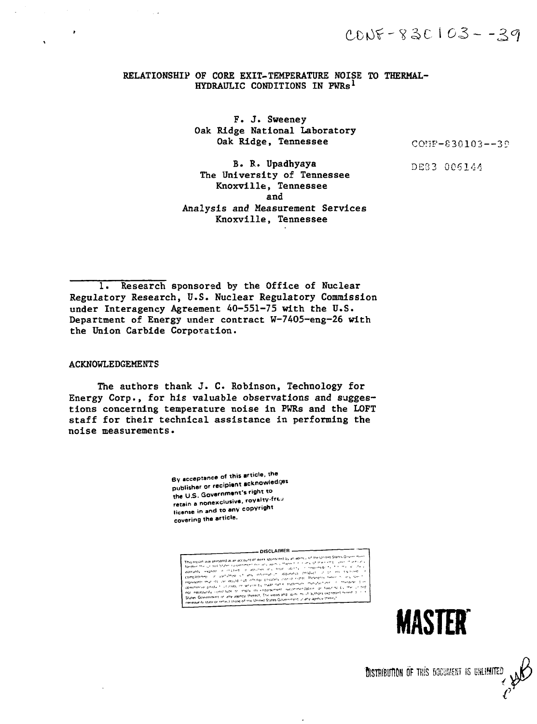$3005 - 830103 - 29$ 

## RELATIONSHIP OF CORE EXIT-TEMPERATURE NOISE TO THERMAL-HYDRAULIC CONDITIONS IN PWRs<sup>1</sup>

F. J. Sweeney Oak Ridge National Laboratory Oak Ridge, Tennessee

COHF-830103—3?

B. B.. Upadhyaya The University of Tennessee Knoxville, Tennessee and Analysis and Measurement Services Knoxville, Tennessee

DE33 0C6144

1. Research sponsored by the Office of Nuclear Regulatory Research, U.S. Nuclear Regulatory Commission under Interagency Agreement 40-551-75 with the U.S. Department of Energy under contract W-7405-eng-26 with the Union Carbide Corporation.

#### ACKNOWLEDGEMENTS

The authors thank J. C. Robinson, Technology for Energy Corp., for his valuable observations and suggestions concerning temperature noise in PWRs and the LOFT staff for their technical assistance in performing the noise measurements.

> By acceptance of this article, the publisher or recipient acknowled.<sub>?</sub>es<br>the U.S. Government's right to **the U S. Government's right to the Material** in and to any copyright **covering the article.**

**-DISCLAIMER .**



**DISTRIBUTION OF THIS BOCUMENT IS UNLIMITED**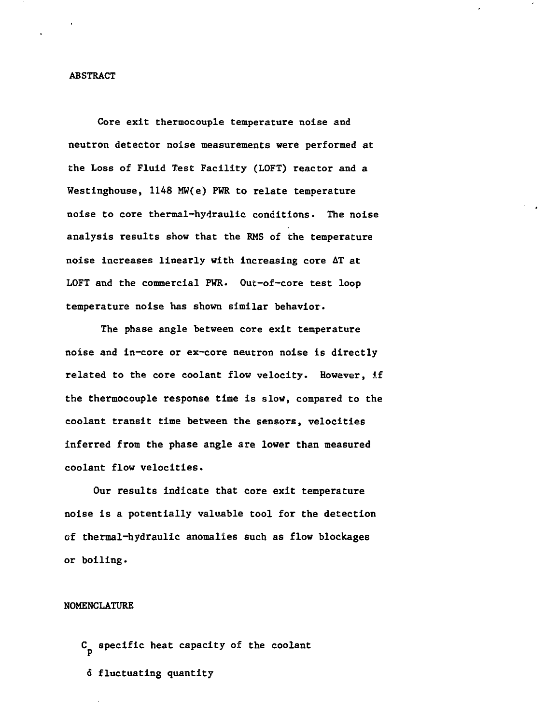### **ABSTRACT**

**Core exit thermocouple temperature noise and neutron detector noise measurements were performed at the Loss of Fluid Test Facility (LOFT) reactor and a Westinghouse, 1148 MW(e) PWR to relate temperature noise to core thermal-hydraulic conditions. The noise analysis results show that the RMS of the temperature noise increases linearly with increasing core AT at LOFT and the commercial PWR. Out-of-core test loop temperature noise has shown similar behavior.**

**The phase angle between core exit temperature noise and in-core or ex-core neutron noise is directly related to the core coolant flow velocity. However, if the thermocouple response time is slow, compared to the coolant transit time between the sensors, velocities inferred from the phase angle are lower than measured coolant flow velocities.**

**Our results indicate that core exit temperature noise is a potentially valuable tool for the detection of thermal-hydraulic anomalies such as flow blockages or boiling.**

# **NOMENCLATURE**

**C specific heat capacity of the coolant 6 fluctuating quantity**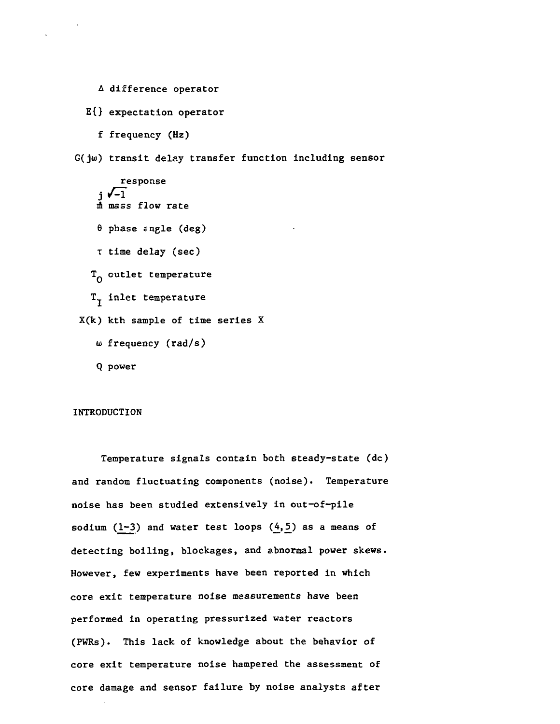- A difference operator
- E{} expectation operator
	- f frequency (Hz)

G(ju)) transit delay transfer function including sensor

response<br> $j \sqrt{-1}$ m mass flow rate  $\theta$  phase angle (deg) T time delay (sec)  $T_{0}$  outlet temperature  $\texttt{T}_{\texttt{T}}$  inlet temperature X(k) kth sample of time series X  $\omega$  frequency (rad/s)

Q power

### INTRODUCTION

Temperature signals contain both steady-state (dc) and random fluctuating components (noise). Temperature noise has been studied extensively in out-of-pile sodium (1-3) and water test loops  $(4,5)$  as a means of detecting boiling, blockages, and abnormal power skews. However, few experiments have been reported in which core exit temperature noise measurements have been performed in operating pressurized water reactors (PWRs). This lack of knowledge about the behavior of core exit temperature noise hampered the assessment of core damage and sensor failure by noise analysts after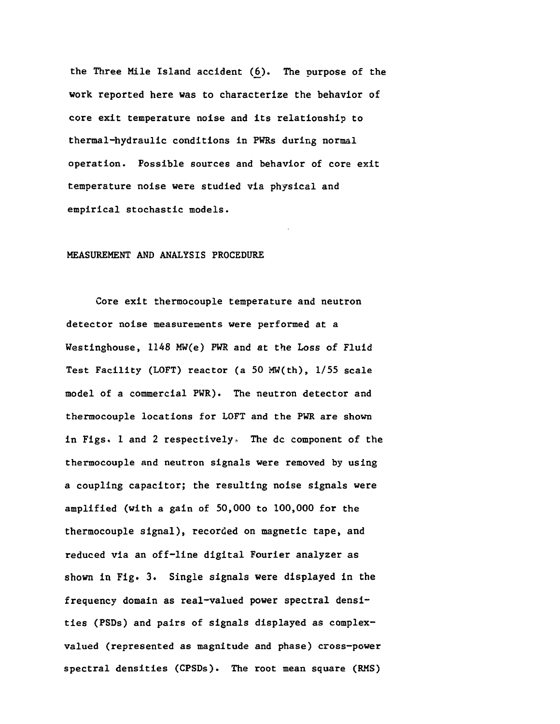the Three Mile Island accident (6). The purpose of the work reported here was to characterize the behavior of core exit temperature noise and its relationship to thermal-hydraulic conditions in PWRs during normal operation. Fossible sources and behavior of core exit temperature noise were studied via physical and empirical stochastic models.

# MEASUREMENT AND ANALYSIS PROCEDURE

Core exit thermocouple temperature and neutron detector noise measurements were performed at a Westinghouse, 1148 MW(e) PWR and at the Loss of Fluid Test Facility (LOFT) reactor (a 50 MW(th), 1/55 scale model of a commercial PWR). The neutron detector and thermocouple locations for LOFT and the PWR are shown in Figs. 1 and 2 respectively. The dc component of the thermocouple and neutron signals were removed by using a coupling capacitor; the resulting noise signals were amplified (with a gain of 50,000 to 100,000 for the thermocouple signal), recorded on magnetic tape, and reduced via an off-line digital Fourier analyzer as shown in Fig. 3. Single signals were displayed in the frequency domain as real-valued power spectral densities (PSDs) and pairs of signals displayed as complexvalued (represented as magnitude and phase) cross-power spectral densities (CPSDs). The root mean square (RMS)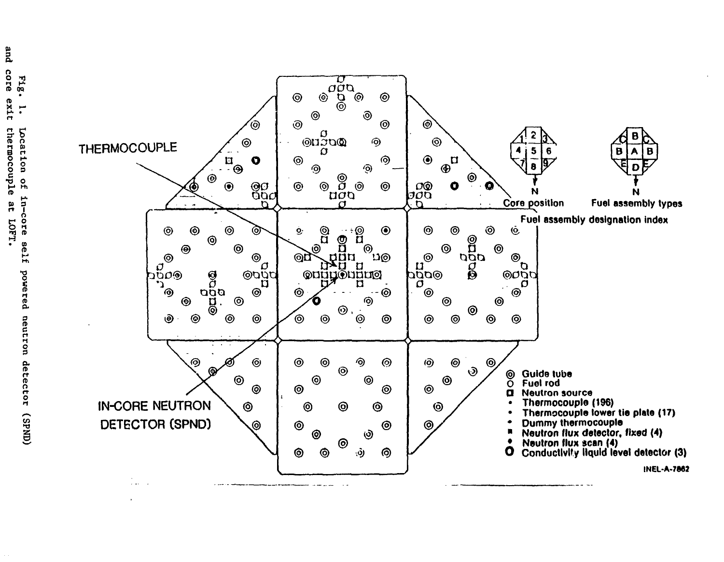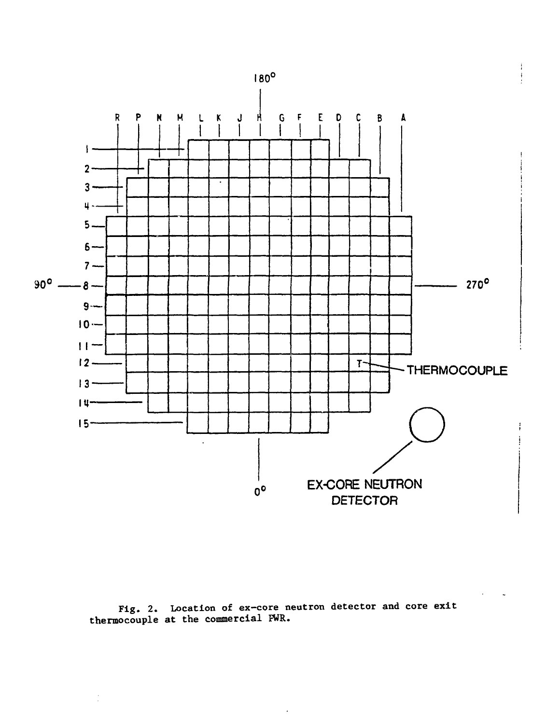



 $\frac{1}{2}$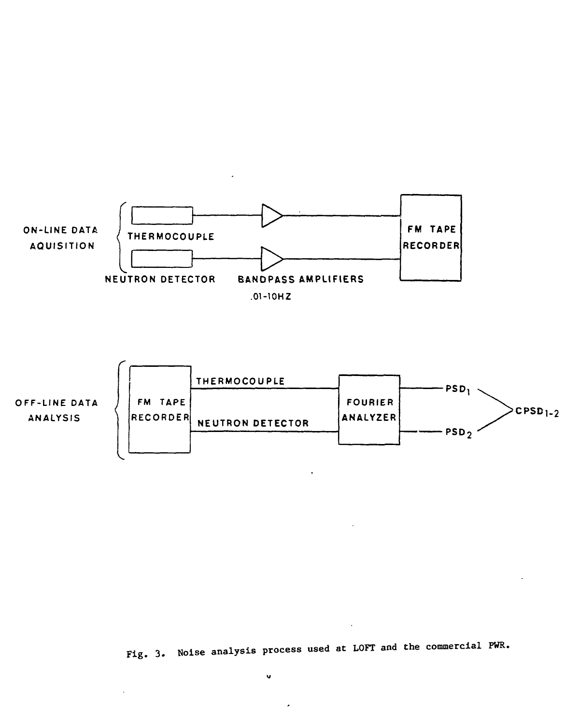



 $\ddot{\phantom{a}}$ 

Fig. 3. Noise analysis process used at LOFT and the commercial PWR.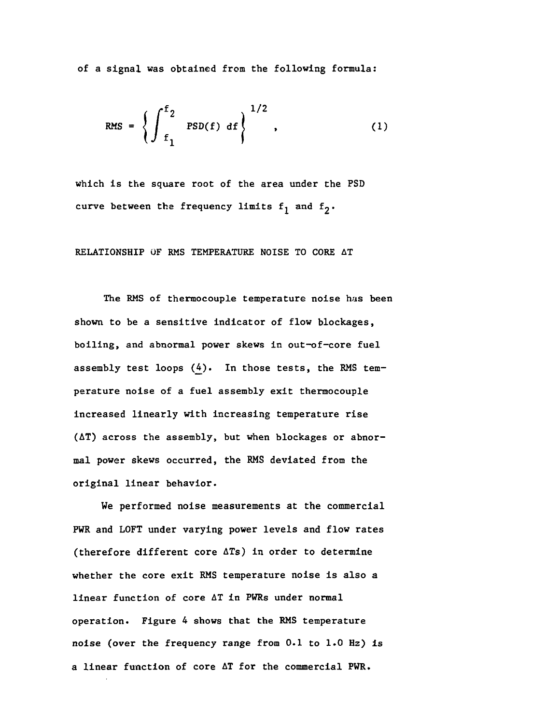of a signal was obtained from the following formula:

RMS = 
$$
\left\{ \int_{f_1}^{f_2} \text{PSD}(f) df \right\}^{1/2},
$$
 (1)

which is the square root of the area under the PSD curve between the frequency limits  $f_1$  and  $f_2$ .

# RELATIONSHIP OF RMS TEMPERATURE NOISE TO CORE AT

The RMS of thermocouple temperature noise has been shown to be a sensitive indicator of flow blockages, boiling, and abnormal power skews in out-of-core fuel assembly test loops  $(4)$ . In those tests, the RMS temperature noise of a fuel assembly exit thermocouple increased linearly with increasing temperature rise (AT) across the assembly, but when blockages or abnormal power skews occurred, the RMS deviated from the original linear behavior.

We performed noise measurements at the commercial PWR and LOFT under varying power levels and flow rates (therefore different core ATs) in order to determine whether the core exit RMS temperature noise is also a linear function of core AT in PWRs under normal operation. Figure 4 shows that the RMS temperature noise (over the frequency range from 0.1 to 1.0 Hz) is a linear function of core AT for the commercial PWR.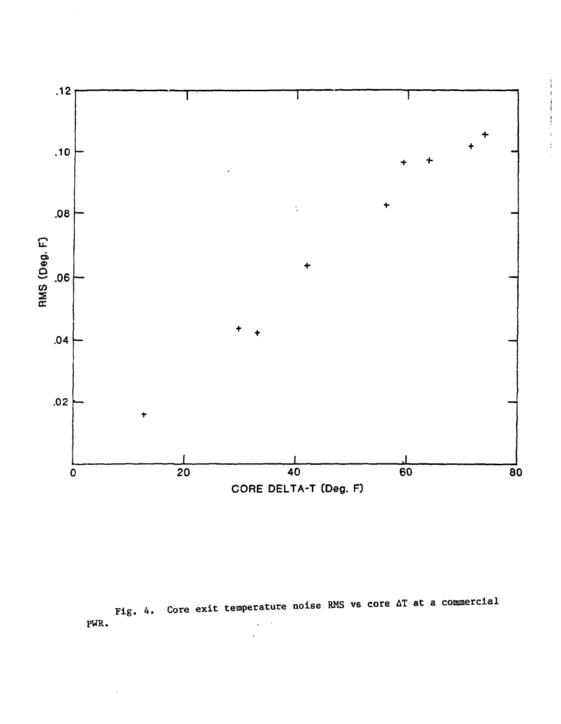

PWR. Fig. 4. Core exit temperature noise RMS vs core  $\Delta T$  at a commercial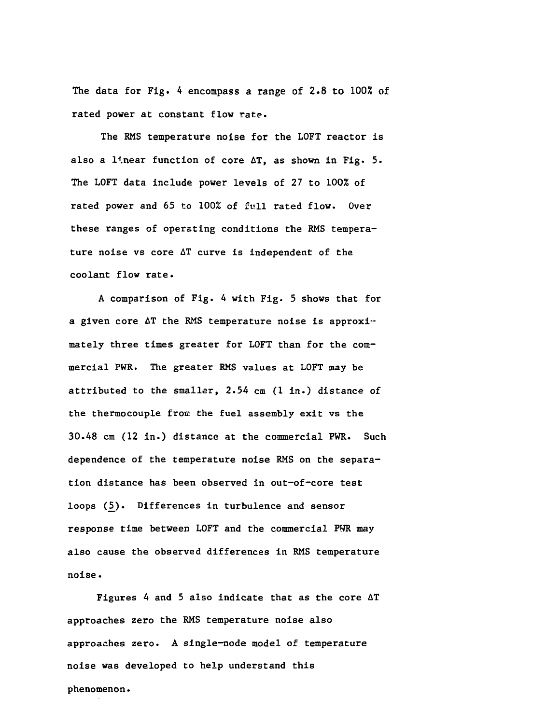The data for Fig. 4 encompass a range of 2.8 to 100% of rated power at constant flow rate.

The RMS temperature noise for the LOFT reactor is also a linear function of core AT, as shown in Fig. 5. The LOFT data include power levels of 27 to 100% of rated power and 65 to 100% of full rated flow. Over these ranges of operating conditions the RMS temperature noise vs core AT curve is independent of the coolant flow rate.

A comparison of Fig. 4 with Fig. 5 shows that for a given core  $\Delta T$  the RMS temperature noise is approximately three times greater for LOFT than for the commercial PWR. The greater RMS values at LOFT may be attributed to the smaller, 2.54 cm (1 in.) distance of the thermocouple from the fuel assembly exit vs the 30.48 cm (12 in.) distance at the commercial PWR. Such dependence of the temperature noise RMS on the separation distance has been observed in out-of-core test loops (5). Differences in turbulence and sensor response time between LOFT and the commercial PWR may also cause the observed differences in RMS temperature noise.

Figures 4 and 5 also indicate that as the core  $\Delta T$ approaches zero the RMS temperature noise also approaches zero. A single-node model of temperature noise was developed to help understand this phenomenon.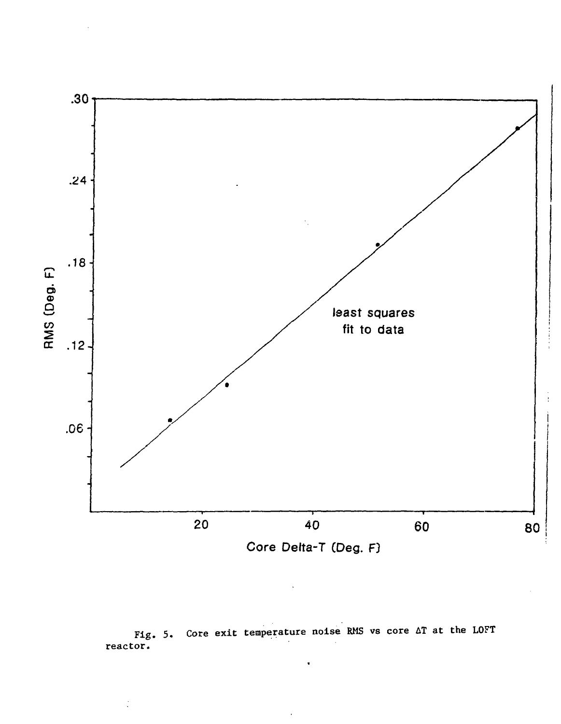

Fig. 5. Core exit temperature noise RMS vs core AT at the LOFT reactor.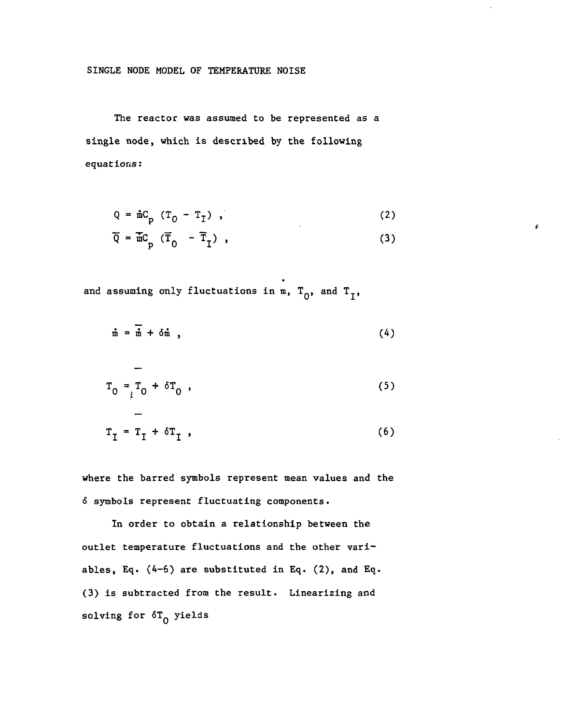## SINGLE NODE MODEL OF TEMPERATURE NOISE

The reactor was assumed to be represented as a single node, which is described by the following equations:

$$
Q = \mathbf{\hat{n}} C_p \left( T_0 - T_7 \right) , \qquad (2)
$$

$$
\overline{Q} = \overline{m}C_p (\overline{T}_0 - \overline{T}_1) , \qquad (3)
$$

and assuming only fluctuations in m,  $T_0$ , and  $T_1$ ,

$$
\tilde{m} = \overline{\tilde{m}} + \delta \tilde{m} \qquad (4)
$$

$$
T_0 = T_0 + \delta T_0,
$$
 (5)

$$
T_{I} = T_{I} + \delta T_{I} , \qquad (6)
$$

where the barred symbols represent mean values and the 6 symbols represent fluctuating components.

In order to obtain a relationship between the outlet temperature fluctuations and the other variables, Eq. (4-6) are substituted in Eq. (2), and Eq. (3) is subtracted from the result. Linearizing and solving for  $\delta T_{\Omega}$  yields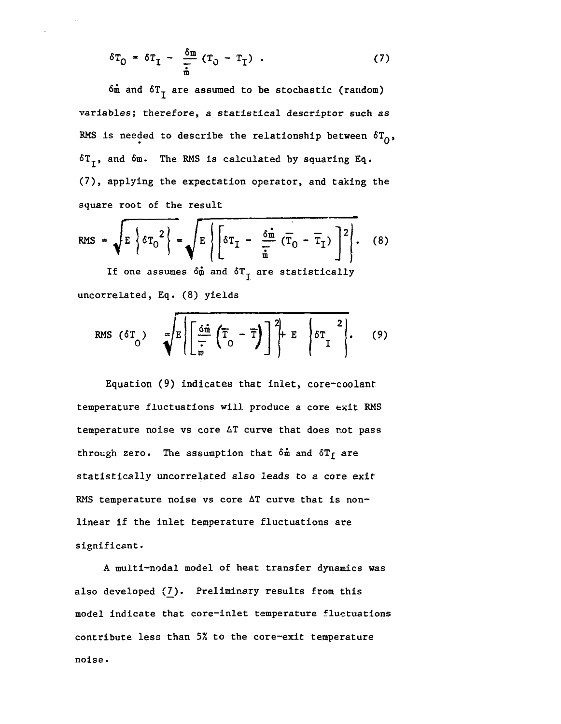$$
\delta T_0 = \delta T_I - \frac{\delta m}{\frac{1}{m}} (T_0 - T_I) . \qquad (7)
$$

 $6\text{m}$  and  $6T<sub>T</sub>$  are assumed to be stochastic (random) variables; therefore, a statistical descriptor such as RMS is needed to describe the relationship between  $\delta T_{0}$ ,  $6T<sub>T</sub>$ , and  $6m$ . The RMS is calculated by squaring Eq. (7), applying the expectation operator, and taking the square root of the result

RMS = 
$$
\sqrt{E \left\{ \delta T_0^2 \right\}} = \sqrt{E \left\{ \left[ \delta T_1 - \frac{\delta \hat{\mathbf{m}}}{\hat{\mathbf{m}}} \left( \overline{T}_0 - \overline{T}_1 \right) \right]^2 \right\}}
$$
. (8)

If one assumes  $\delta \hat{\mathfrak{m}}$  and  $\delta \mathfrak{T}^-_{\mathfrak{I}}$  are statistically uncorrelated, Eq. (8) yields

RMS 
$$
(\delta T_o)
$$
  $\sqrt{\mathbb{E}\left[\frac{\delta \hat{\mathbf{n}}}{\overline{\mathbf{v}}}\left(\overline{T}_o - \overline{T}\right)\right]^2 + \mathbb{E}\left\{\delta T \overline{T}_o\right\}}$  (9)

Equation (9) indicates that inlet, core-coolant temperature fluctuations will produce a core exit RMS temperature noise vs core AT curve that does not pass through zero. The assumption that  $\delta m$  and  $\delta T_f$  are statistically uncorrelated also leads to a core exit RMS temperature noise vs core AT curve that is nonlinear if the inlet temperature fluctuations are significant.

A multi-nodal model of heat transfer dynamics was also developed  $(7)$ . Preliminary results from this model indicate that core-inlet temperature fluctuations contribute less than 5% to the core-exit temperature noise.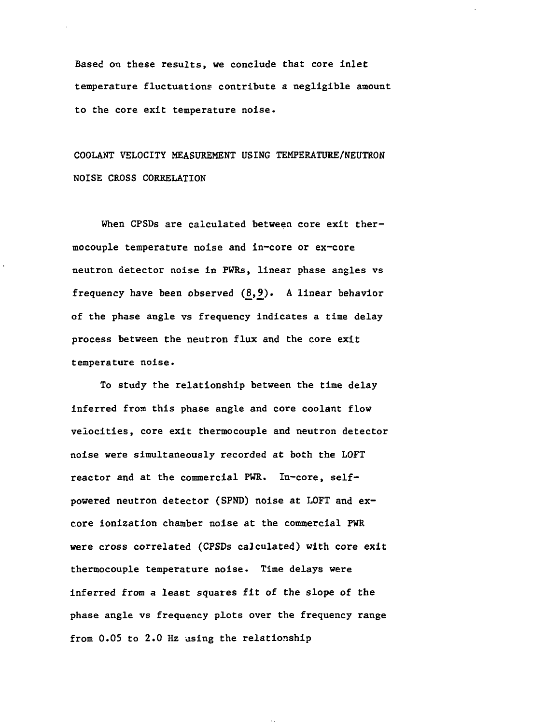Based on these results, we conclude that core inlet temperature fluctuations contribute a negligible amount to the core exit temperature noise.

COOLANT VELOCITY MEASUREMENT USING TEMPERATURE/NEUTRON NOISE CROSS CORRELATION

When CPSDs are calculated between core exit thermocouple temperature noise and in-core or ex-core neutron detector noise in PWRs, linear phase angles vs frequency have been observed  $(8, 9)$ . A linear behavior of the phase angle vs frequency indicates a time delay process between the neutron flux and the core exit temperature noise.

To study the relationship between the time delay inferred from this phase angle and core coolant flow velocities, core exit thermocouple and neutron detector noise were simultaneously recorded at both the LOFT reactor and at the commercial PWR. In-core, selfpowered neutron detector (SPND) noise at LOFT and excore ionization chamber noise at the commercial PWR were cross correlated (CPSDs calculated) with core exit thermocouple temperature noise. Time delays were inferred from a least squares fit of the slope of the phase angle vs frequency plots over the frequency range from 0.05 to 2.0 Hz using the relationship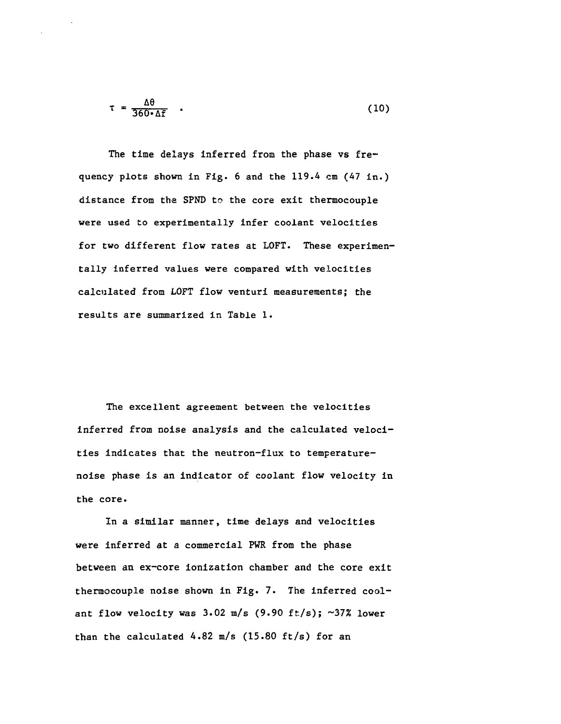$$
\tau = \frac{\Delta \theta}{360 \cdot \Delta f} \quad . \tag{10}
$$

The time delays inferred from the phase vs frequency plots shown in Fig. 6 and the 119.4 cm (47 in.) distance from the SPND to the core exit thermocouple were used to experimentally infer coolant velocities for two different flow rates at LOFT. These experimentally inferred values were compared with velocities calculated from LOFT flow venturi measurements; the results are summarized in Table 1.

The excellent agreement between the velocities inferred from noise analysis and the calculated velocities indicates that the neutron-flux to temperaturenoise phase is an indicator of coolant flow velocity in the core.

In a similar manner, time delays and velocities were inferred at a commercial PWR from the phase between an ex-core ionization chamber and the core exit thermocouple noise shown in Fig. 7. The inferred coolant flow velocity was  $3.02 \text{ m/s}$  (9.90 ft/s); ~37% lower than the calculated 4.82 m/s (15.80 ft/s) for an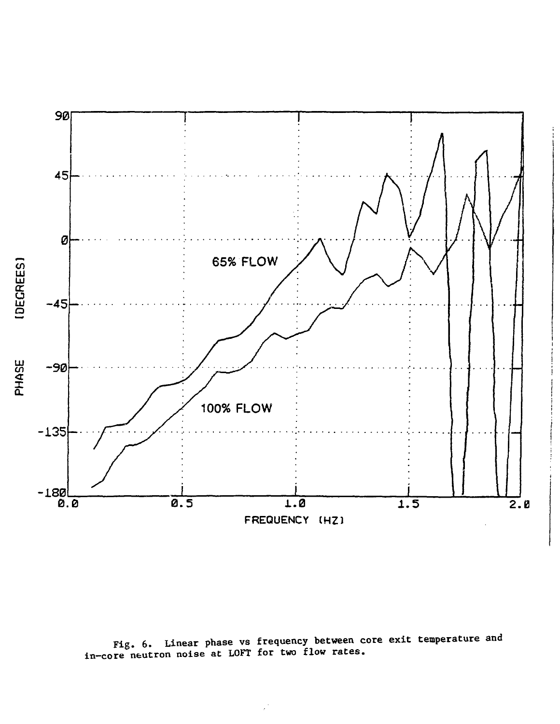

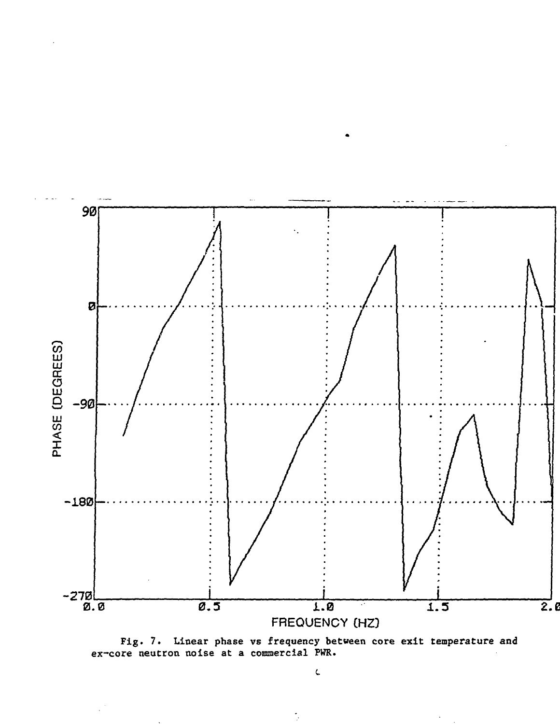

Fig. 7. Linear phase vs frequency between core exit temperature and ex-core neutron noise at a commercial PWR.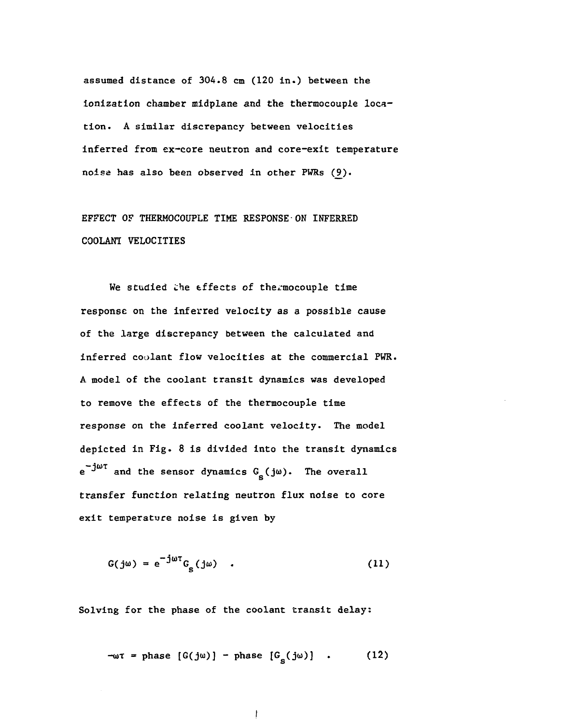assumed distance of 304.8 cm (120 in.) between the ionization chamber midplane and the thermocouple location. A similar discrepancy between velocities inferred from ex-core neutron and core-exit temperature noise has also been observed in other PWRs (9).

EFFECT OF THERMOCOUPLE TIME RESPONSE-ON INFERRED COOLANT VELOCITIES

We studied the effects of thermocouple time response on the inferred velocity as a possible cause of the large discrepancy between the calculated and inferred coolant flow velocities at the commercial PWR. A model of the coolant transit dynamics was developed to remove the effects of the thermocouple time response on the inferred coolant velocity. The model depicted in Fig. 8 is divided into the transit dynamics  $e^{-J^{\mu}t}$  and the sensor dynamics  $G_{\mu}$  (j $\omega$ ). The overall 5 transfer function relating neutron flux noise to core exit temperature noise is given by

$$
G(j\omega) = e^{-j\omega t} G_{s}(j\omega) \qquad (11)
$$

Solving for the phase of the coolant transit delay:

$$
-\omega \tau = \text{phase} \left[ G(j\omega) \right] - \text{phase} \left[ G_{\text{s}}(j\omega) \right] . \tag{12}
$$

$$
\cdot
$$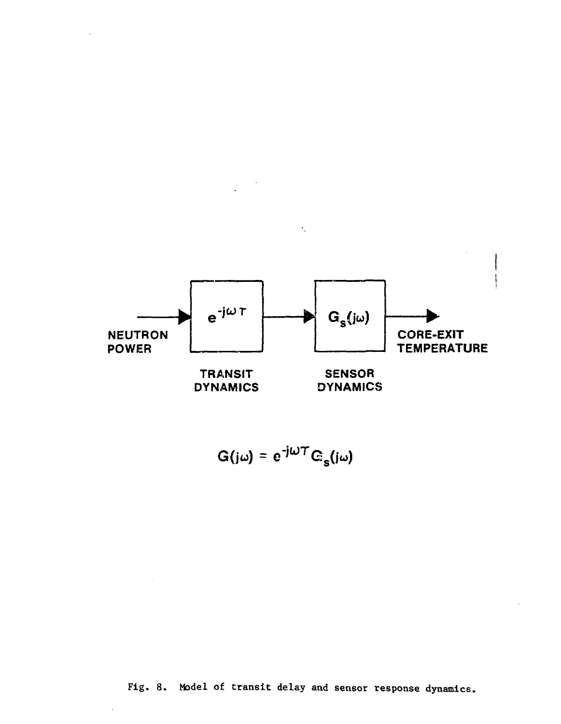

÷.

$$
G(j\omega) = e^{-j\omega T} G_{\alpha}(j\omega)
$$

Fig. 8. Model of transit delay and sensor response dynamics.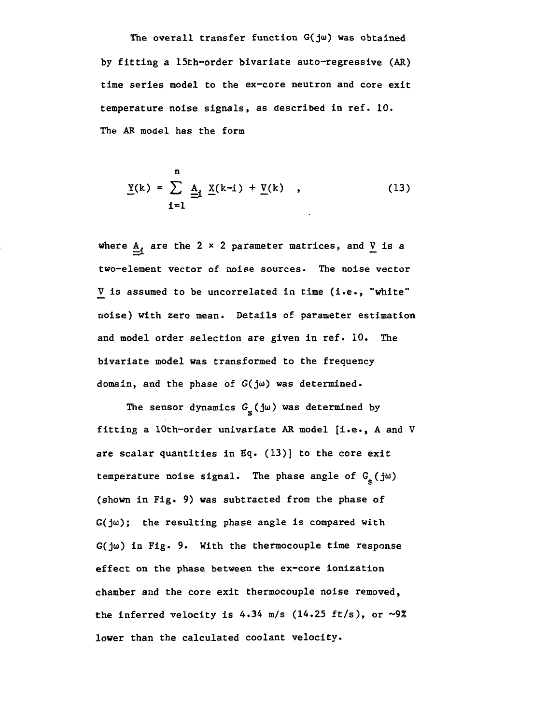The overall transfer function  $G(j\omega)$  was obtained by fitting a 15th-order bivariate auto-regressive (AR) time series model to the ex-core neutron and core exit temperature noise signals, as described in ref. 10. The AR model has the form

$$
\underline{Y}(k) = \sum_{i=1}^{n} \underline{A}_{i} \underline{X}(k-i) + \underline{V}(k) , \qquad (13)
$$

where  $A_i$  are the 2 x 2 parameter matrices, and  $\underline{V}$  is a two-element vector of noise sources. The noise vector  $V$  is assumed to be uncorrelated in time (i.e., "white" noise) with zero mean. Details of parameter estimation and model order selection are given in ref. 10. The bivariate model was transformed to the frequency domain, and the phase of  $G(j\omega)$  was determined.

The sensor dynamics  $G_{\rm g}$  (jw) was determined by fitting a lOth-order univariate AR model [i.e., A and V are scalar quantities in Eq. (13)] to the core exit temperature noise signal. The phase angle of  $G_g(j\omega)$  $G(j\omega)$ ; the resulting phase angle is compared with  $G(\frac{1}{2}\omega)$  in Fig. 9. With the thermocouple time response effect on the phase between the ex-core ionization chamber and the core exit thermocouple noise removed, the inferred velocity is  $4.34$  m/s (14.25 ft/s), or ~9% lower than the calculated coolant velocity.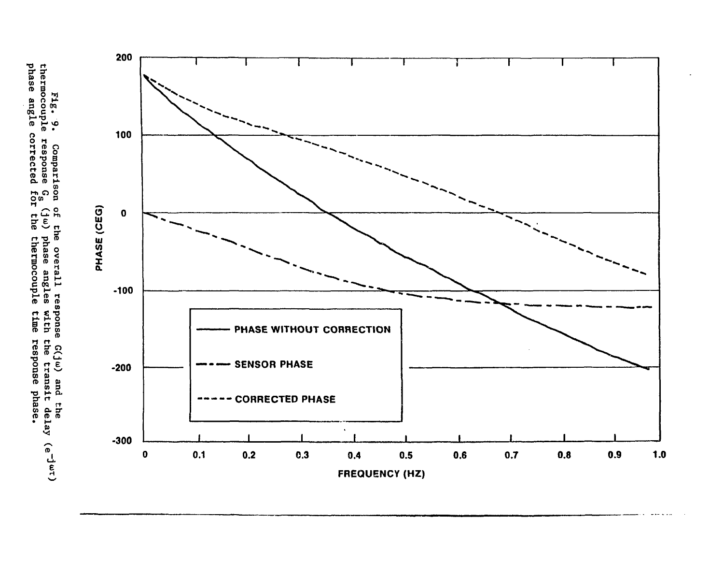phase angle  $\begin{array}{cc}\n \texttt{FIG. 9.} \\ \texttt{thermocouple}\n \end{array}$ ). Comparison o<br>le response G<sub>s</sub> (<br>e response G<sub>s</sub> (  $\frac{1}{2}$ of the overall read of the overall read exponent (j<sup>a</sup>) phase angles che **response** sponse G(jw) and the<br>with the transit delay (e<sup>-jwr)</sup><br>time response nhow-

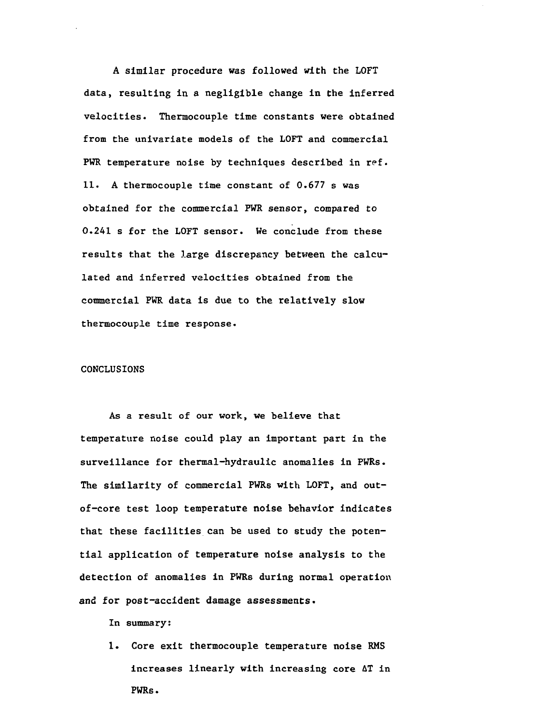A similar procedure was followed with the LOFT data, resulting in a negligible change in the inferred velocities. Thermocouple time constants were obtained from the univariate models of the LOFT and commercial PWR temperature noise by techniques described in ref. 11. A thermocouple time constant of 0.677 s was obtained for the commercial PWR sensor, compared to 0.241 s for the LOFT sensor. We conclude from these results that the large discrepancy between the calculated and inferred velocities obtained from the commercial PWR data is due to the relatively slow thermocouple time response.

#### CONCLUSIONS

As a result of our work, we believe that temperature noise could play an important part in the surveillance for thermal-hydraulic anomalies in PWRs. The similarity of commercial PWRs with LOFT, and outof-core test loop temperature noise behavior indicates that these facilities can be used to study the potential application of temperature noise analysis to the detection of anomalies in PWRs during normal operation and for post-accident damage assessments.

In summary:

1. Core exit thermocouple temperature noise RMS increases linearly with increasing core AT in PWRs.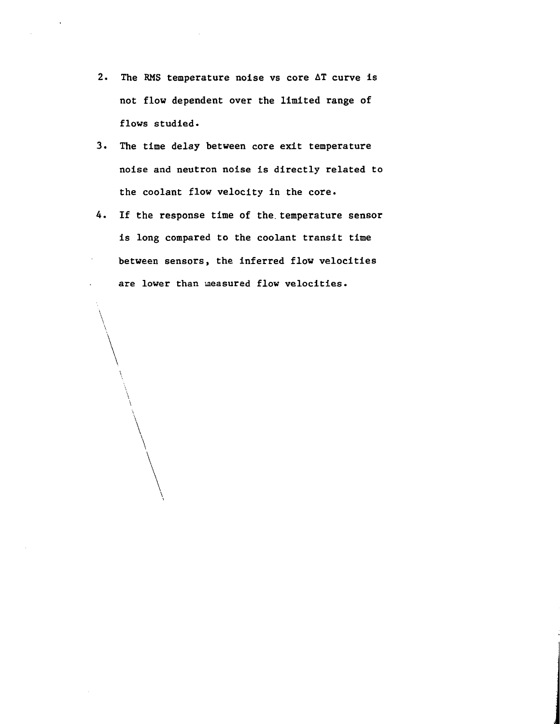- 2. The RMS temperature noise vs core AT curve is not flow dependent over the limited range of flows studied.
- 3. The time delay between core exit temperature noise and neutron noise is directly related to the coolant flow velocity in the core.
- 4. If the response time of the. temperature sensor is long compared to the coolant transit time between sensors, the inferred flow velocities are lower than measured flow velocities.

 $\backslash$ 

 $\mathbf{V}$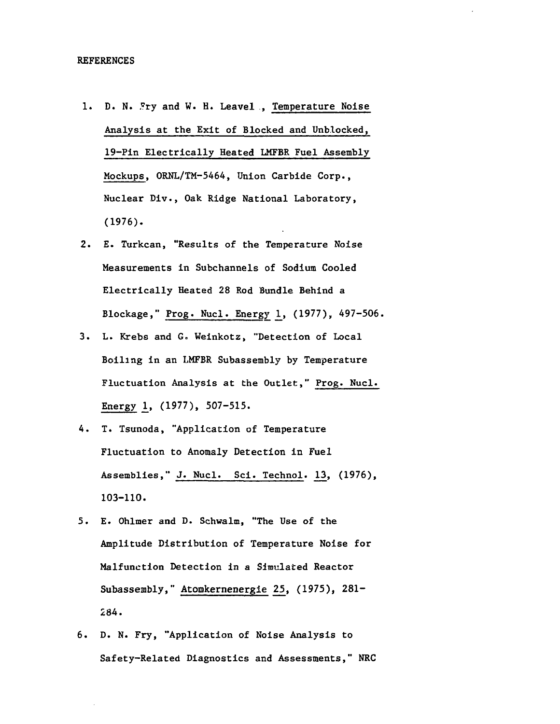- 1. D. N. Fry and W. H. Leavel , Temperature Noise Analysis at the Exit of Blocked and Unblocked, 19-Pin Electrically Heated LMFBR Fuel Assembly Mockups, ORNL/TM-5464, Union Carbide Corp., Nuclear Div., Oak Ridge National Laboratory, (1976).
- 2. E. Turkcan, "Results of the Temperature Noise Measurements in Subchannels of Sodium Cooled Electrically Heated 28 Rod Bundle Behind a Blockage," Prog. Nucl. Energy 1, (1977), 497-506.
- 3. L. Rrebs and G. Weinkotz, "Detection of Local Boiling in an LMFBR Subassembly by Temperature Fluctuation Analysis at the Outlet," Prog. Nucl. Energy 1, (1977), 507-515.
- 4. T. Tsunoda, "Application of Temperature Fluctuation to Anomaly Detection in Fuel Assemblies," J. Nucl. Sci. Technol. 13, (1976), 103-110.
- 5. E. Ohlmer and D. Schwalm, "The Use of the Amplitude Distribution of Temperature Noise for Malfunction Detection in a Simulated Reactor Subassembly," Atomkernenergie 25, (1975), 281- 284.
- 6. D. N. Fry, "Application of Noise Analysis to Safety-Related Diagnostics and Assessments," NRC